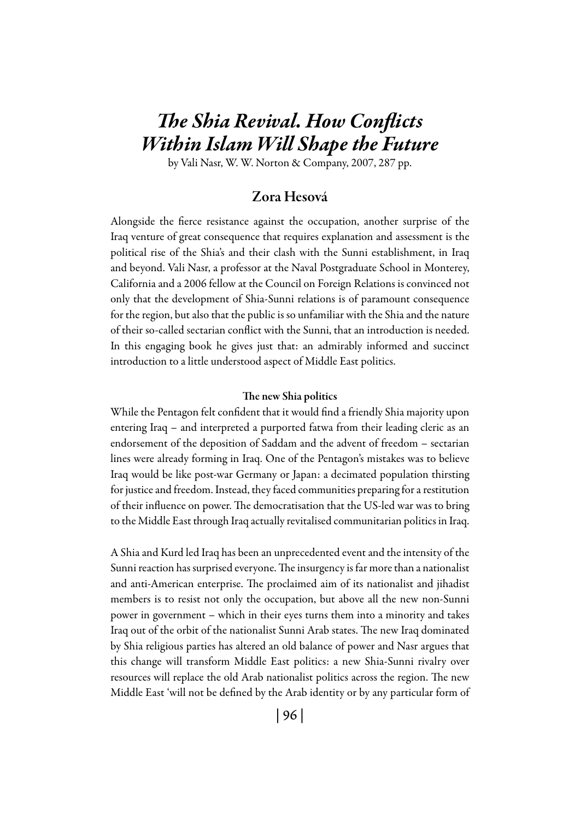# *The Shia Revival. How Conflicts Within Islam Will Shape the Future*

by Vali Nasr, W. W. Norton & Company, 2007, 287 pp.

### Zora Hesová

Alongside the fierce resistance against the occupation, another surprise of the Iraq venture of great consequence that requires explanation and assessment is the political rise of the Shia's and their clash with the Sunni establishment, in Iraq and beyond. Vali Nasr, a professor at the Naval Postgraduate School in Monterey, California and a 2006 fellow at the Council on Foreign Relations is convinced not only that the development of Shia-Sunni relations is of paramount consequence for the region, but also that the public is so unfamiliar with the Shia and the nature of their so-called sectarian conflict with the Sunni, that an introduction is needed. In this engaging book he gives just that: an admirably informed and succinct introduction to a little understood aspect of Middle East politics.

#### The new Shia politics

While the Pentagon felt confident that it would find a friendly Shia majority upon entering Iraq – and interpreted a purported fatwa from their leading cleric as an endorsement of the deposition of Saddam and the advent of freedom – sectarian lines were already forming in Iraq. One of the Pentagon's mistakes was to believe Iraq would be like post-war Germany or Japan: a decimated population thirsting for justice and freedom. Instead, they faced communities preparing for a restitution of their influence on power. The democratisation that the US-led war was to bring to the Middle East through Iraq actually revitalised communitarian politics in Iraq.

A Shia and Kurd led Iraq has been an unprecedented event and the intensity of the Sunni reaction has surprised everyone. The insurgency is far more than a nationalist and anti-American enterprise. The proclaimed aim of its nationalist and jihadist members is to resist not only the occupation, but above all the new non-Sunni power in government – which in their eyes turns them into a minority and takes Iraq out of the orbit of the nationalist Sunni Arab states. The new Iraq dominated by Shia religious parties has altered an old balance of power and Nasr argues that this change will transform Middle East politics: a new Shia-Sunni rivalry over resources will replace the old Arab nationalist politics across the region. The new Middle East 'will not be defined by the Arab identity or by any particular form of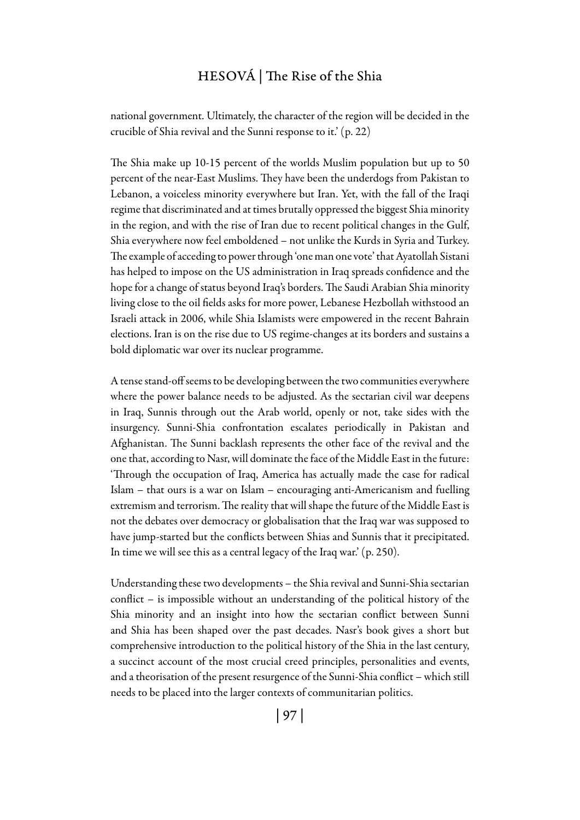# Hesová | The Rise of the Shia

national government. Ultimately, the character of the region will be decided in the crucible of Shia revival and the Sunni response to it.' (p. 22)

The Shia make up 10-15 percent of the worlds Muslim population but up to 50 percent of the near-East Muslims. They have been the underdogs from Pakistan to Lebanon, a voiceless minority everywhere but Iran. Yet, with the fall of the Iraqi regime that discriminated and at times brutally oppressed the biggest Shia minority in the region, and with the rise of Iran due to recent political changes in the Gulf, Shia everywhere now feel emboldened – not unlike the Kurds in Syria and Turkey. The example of acceding to power through 'one man one vote' that Ayatollah Sistani has helped to impose on the US administration in Iraq spreads confidence and the hope for a change of status beyond Iraq's borders. The Saudi Arabian Shia minority living close to the oil fields asks for more power, Lebanese Hezbollah withstood an Israeli attack in 2006, while Shia Islamists were empowered in the recent Bahrain elections. Iran is on the rise due to US regime-changes at its borders and sustains a bold diplomatic war over its nuclear programme.

A tense stand-off seems to be developing between the two communities everywhere where the power balance needs to be adjusted. As the sectarian civil war deepens in Iraq, Sunnis through out the Arab world, openly or not, take sides with the insurgency. Sunni-Shia confrontation escalates periodically in Pakistan and Afghanistan. The Sunni backlash represents the other face of the revival and the one that, according to Nasr, will dominate the face of the Middle East in the future: 'Through the occupation of Iraq, America has actually made the case for radical Islam – that ours is a war on Islam – encouraging anti-Americanism and fuelling extremism and terrorism. The reality that will shape the future of the Middle East is not the debates over democracy or globalisation that the Iraq war was supposed to have jump-started but the conflicts between Shias and Sunnis that it precipitated. In time we will see this as a central legacy of the Iraq war.' (p. 250).

Understanding these two developments – the Shia revival and Sunni-Shia sectarian conflict – is impossible without an understanding of the political history of the Shia minority and an insight into how the sectarian conflict between Sunni and Shia has been shaped over the past decades. Nasr's book gives a short but comprehensive introduction to the political history of the Shia in the last century, a succinct account of the most crucial creed principles, personalities and events, and a theorisation of the present resurgence of the Sunni-Shia conflict – which still needs to be placed into the larger contexts of communitarian politics.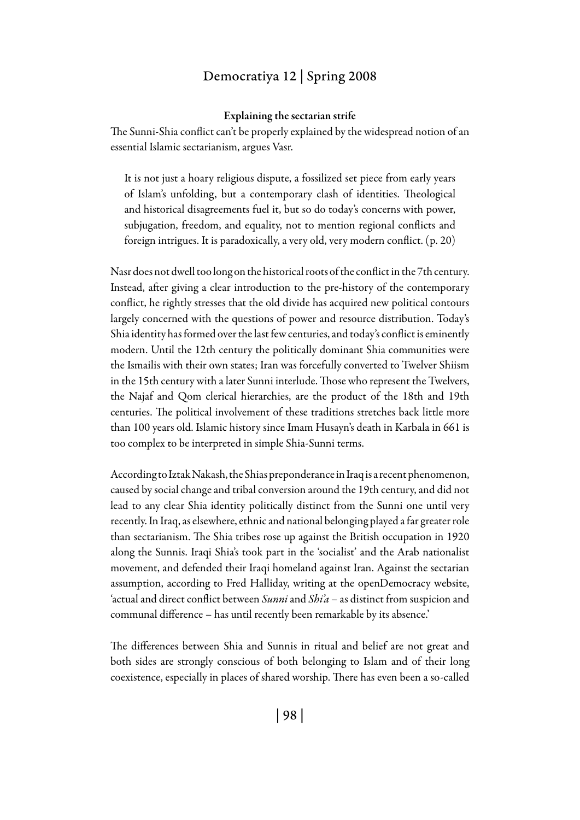### Democratiya 12 | Spring 2008

#### Explaining the sectarian strife

The Sunni-Shia conflict can't be properly explained by the widespread notion of an essential Islamic sectarianism, argues Vasr.

It is not just a hoary religious dispute, a fossilized set piece from early years of Islam's unfolding, but a contemporary clash of identities. Theological and historical disagreements fuel it, but so do today's concerns with power, subjugation, freedom, and equality, not to mention regional conflicts and foreign intrigues. It is paradoxically, a very old, very modern conflict. (p. 20)

Nasr does not dwell too long on the historical roots of the conflict in the 7th century. Instead, after giving a clear introduction to the pre-history of the contemporary conflict, he rightly stresses that the old divide has acquired new political contours largely concerned with the questions of power and resource distribution. Today's Shia identity has formed over the last few centuries, and today's conflict is eminently modern. Until the 12th century the politically dominant Shia communities were the Ismailis with their own states; Iran was forcefully converted to Twelver Shiism in the 15th century with a later Sunni interlude. Those who represent the Twelvers, the Najaf and Qom clerical hierarchies, are the product of the 18th and 19th centuries. The political involvement of these traditions stretches back little more than 100 years old. Islamic history since Imam Husayn's death in Karbala in 661 is too complex to be interpreted in simple Shia-Sunni terms.

According to Iztak Nakash, the Shias preponderance in Iraq is a recent phenomenon, caused by social change and tribal conversion around the 19th century, and did not lead to any clear Shia identity politically distinct from the Sunni one until very recently. In Iraq, as elsewhere, ethnic and national belonging played a far greater role than sectarianism. The Shia tribes rose up against the British occupation in 1920 along the Sunnis. Iraqi Shia's took part in the 'socialist' and the Arab nationalist movement, and defended their Iraqi homeland against Iran. Against the sectarian assumption, according to Fred Halliday, writing at the openDemocracy website, 'actual and direct conflict between *Sunni* and *Shi'a* – as distinct from suspicion and communal difference – has until recently been remarkable by its absence.'

The differences between Shia and Sunnis in ritual and belief are not great and both sides are strongly conscious of both belonging to Islam and of their long coexistence, especially in places of shared worship. There has even been a so-called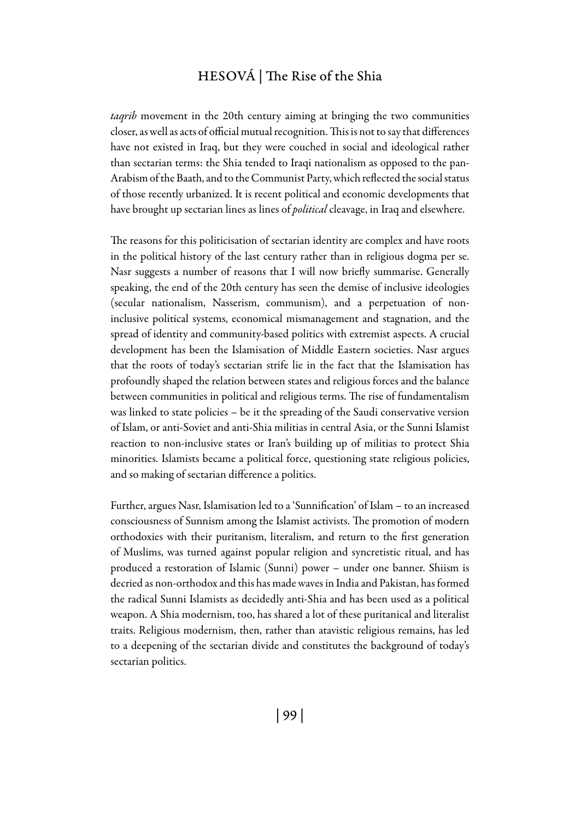### Hesová | The Rise of the Shia

*taqrib* movement in the 20th century aiming at bringing the two communities closer, as well as acts of official mutual recognition. This is not to say that differences have not existed in Iraq, but they were couched in social and ideological rather than sectarian terms: the Shia tended to Iraqi nationalism as opposed to the pan-Arabism of the Baath, and to the Communist Party, which reflected the social status of those recently urbanized. It is recent political and economic developments that have brought up sectarian lines as lines of *political* cleavage, in Iraq and elsewhere.

The reasons for this politicisation of sectarian identity are complex and have roots in the political history of the last century rather than in religious dogma per se. Nasr suggests a number of reasons that I will now briefly summarise. Generally speaking, the end of the 20th century has seen the demise of inclusive ideologies (secular nationalism, Nasserism, communism), and a perpetuation of noninclusive political systems, economical mismanagement and stagnation, and the spread of identity and community-based politics with extremist aspects. A crucial development has been the Islamisation of Middle Eastern societies. Nasr argues that the roots of today's sectarian strife lie in the fact that the Islamisation has profoundly shaped the relation between states and religious forces and the balance between communities in political and religious terms. The rise of fundamentalism was linked to state policies – be it the spreading of the Saudi conservative version of Islam, or anti-Soviet and anti-Shia militias in central Asia, or the Sunni Islamist reaction to non-inclusive states or Iran's building up of militias to protect Shia minorities. Islamists became a political force, questioning state religious policies, and so making of sectarian difference a politics.

Further, argues Nasr, Islamisation led to a 'Sunnification' of Islam – to an increased consciousness of Sunnism among the Islamist activists. The promotion of modern orthodoxies with their puritanism, literalism, and return to the first generation of Muslims, was turned against popular religion and syncretistic ritual, and has produced a restoration of Islamic (Sunni) power – under one banner. Shiism is decried as non-orthodox and this has made waves in India and Pakistan, has formed the radical Sunni Islamists as decidedly anti-Shia and has been used as a political weapon. A Shia modernism, too, has shared a lot of these puritanical and literalist traits. Religious modernism, then, rather than atavistic religious remains, has led to a deepening of the sectarian divide and constitutes the background of today's sectarian politics.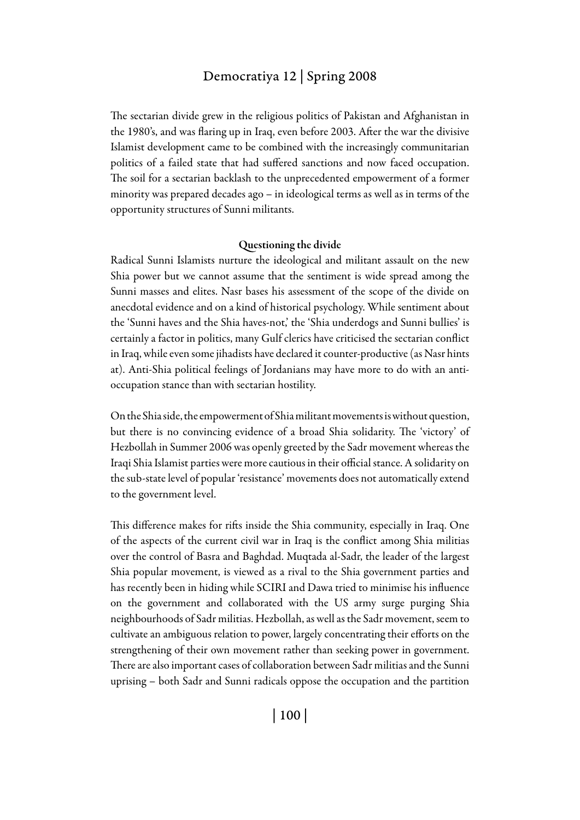#### Democratiya 12 | Spring 2008

The sectarian divide grew in the religious politics of Pakistan and Afghanistan in the 1980's, and was flaring up in Iraq, even before 2003. After the war the divisive Islamist development came to be combined with the increasingly communitarian politics of a failed state that had suffered sanctions and now faced occupation. The soil for a sectarian backlash to the unprecedented empowerment of a former minority was prepared decades ago – in ideological terms as well as in terms of the opportunity structures of Sunni militants.

#### Questioning the divide

Radical Sunni Islamists nurture the ideological and militant assault on the new Shia power but we cannot assume that the sentiment is wide spread among the Sunni masses and elites. Nasr bases his assessment of the scope of the divide on anecdotal evidence and on a kind of historical psychology. While sentiment about the 'Sunni haves and the Shia haves-not,' the 'Shia underdogs and Sunni bullies' is certainly a factor in politics, many Gulf clerics have criticised the sectarian conflict in Iraq, while even some jihadists have declared it counter-productive (as Nasr hints at). Anti-Shia political feelings of Jordanians may have more to do with an antioccupation stance than with sectarian hostility.

On the Shia side, the empowerment of Shia militant movements is without question, but there is no convincing evidence of a broad Shia solidarity. The 'victory' of Hezbollah in Summer 2006 was openly greeted by the Sadr movement whereas the Iraqi Shia Islamist parties were more cautious in their official stance. A solidarity on the sub-state level of popular 'resistance' movements does not automatically extend to the government level.

This difference makes for rifts inside the Shia community, especially in Iraq. One of the aspects of the current civil war in Iraq is the conflict among Shia militias over the control of Basra and Baghdad. Muqtada al-Sadr, the leader of the largest Shia popular movement, is viewed as a rival to the Shia government parties and has recently been in hiding while SCIRI and Dawa tried to minimise his influence on the government and collaborated with the US army surge purging Shia neighbourhoods of Sadr militias. Hezbollah, as well as the Sadr movement, seem to cultivate an ambiguous relation to power, largely concentrating their efforts on the strengthening of their own movement rather than seeking power in government. There are also important cases of collaboration between Sadr militias and the Sunni uprising – both Sadr and Sunni radicals oppose the occupation and the partition

| 100 |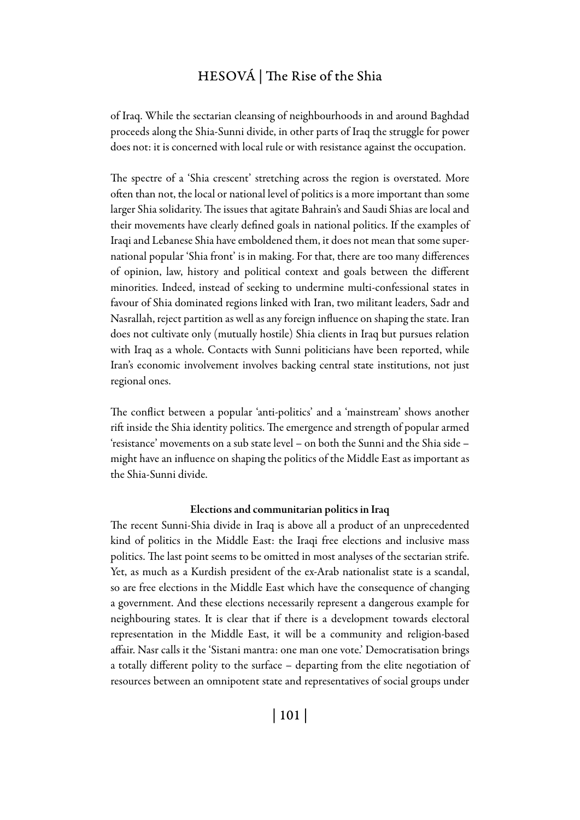### Hesová | The Rise of the Shia

of Iraq. While the sectarian cleansing of neighbourhoods in and around Baghdad proceeds along the Shia-Sunni divide, in other parts of Iraq the struggle for power does not: it is concerned with local rule or with resistance against the occupation.

The spectre of a 'Shia crescent' stretching across the region is overstated. More often than not, the local or national level of politics is a more important than some larger Shia solidarity. The issues that agitate Bahrain's and Saudi Shias are local and their movements have clearly defined goals in national politics. If the examples of Iraqi and Lebanese Shia have emboldened them, it does not mean that some supernational popular 'Shia front' is in making. For that, there are too many differences of opinion, law, history and political context and goals between the different minorities. Indeed, instead of seeking to undermine multi-confessional states in favour of Shia dominated regions linked with Iran, two militant leaders, Sadr and Nasrallah, reject partition as well as any foreign influence on shaping the state. Iran does not cultivate only (mutually hostile) Shia clients in Iraq but pursues relation with Iraq as a whole. Contacts with Sunni politicians have been reported, while Iran's economic involvement involves backing central state institutions, not just regional ones.

The conflict between a popular 'anti-politics' and a 'mainstream' shows another rift inside the Shia identity politics. The emergence and strength of popular armed 'resistance' movements on a sub state level – on both the Sunni and the Shia side – might have an influence on shaping the politics of the Middle East as important as the Shia-Sunni divide.

#### Elections and communitarian politics in Iraq

The recent Sunni-Shia divide in Iraq is above all a product of an unprecedented kind of politics in the Middle East: the Iraqi free elections and inclusive mass politics. The last point seems to be omitted in most analyses of the sectarian strife. Yet, as much as a Kurdish president of the ex-Arab nationalist state is a scandal, so are free elections in the Middle East which have the consequence of changing a government. And these elections necessarily represent a dangerous example for neighbouring states. It is clear that if there is a development towards electoral representation in the Middle East, it will be a community and religion-based affair. Nasr calls it the 'Sistani mantra: one man one vote.' Democratisation brings a totally different polity to the surface – departing from the elite negotiation of resources between an omnipotent state and representatives of social groups under

| 101 |